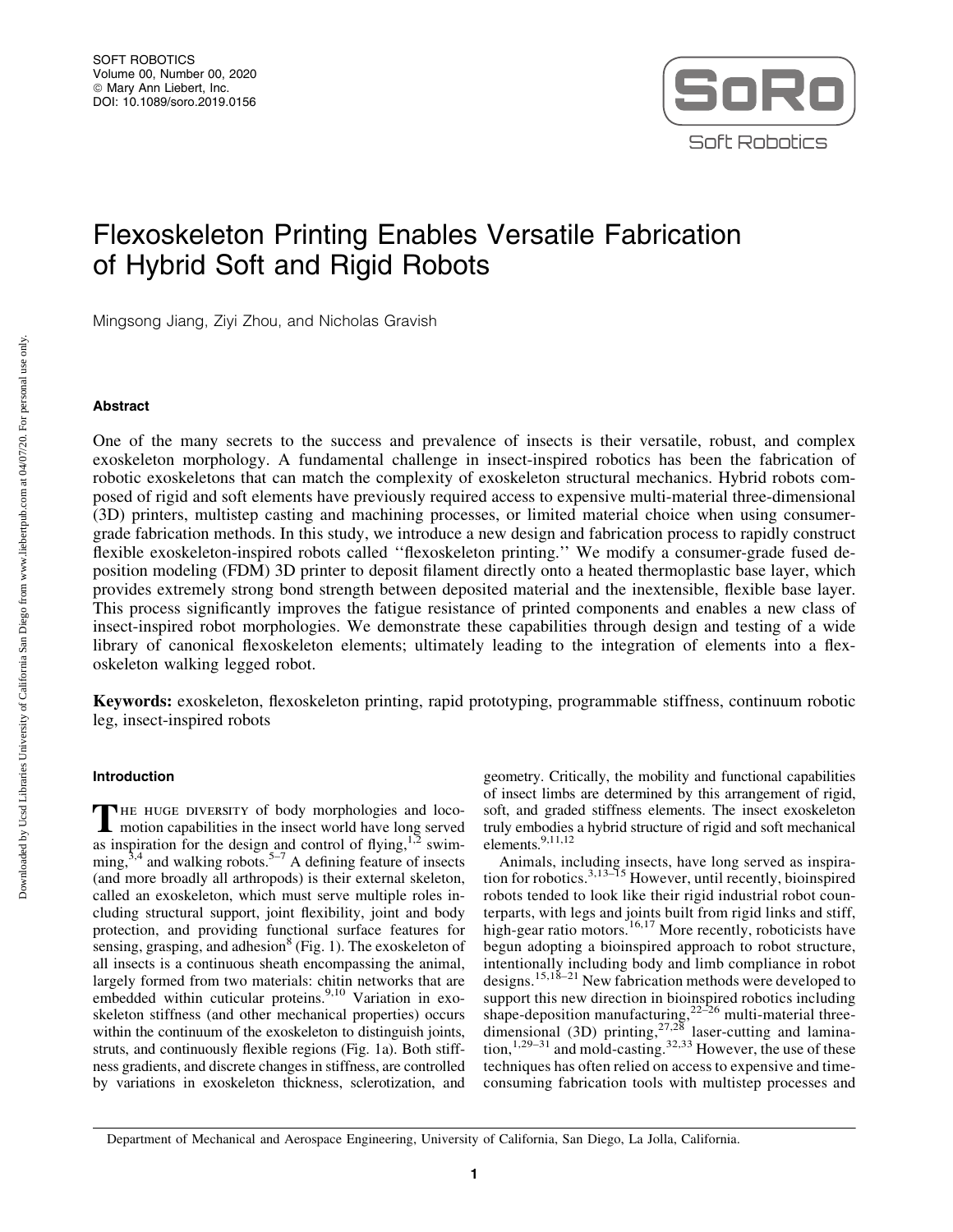

# Flexoskeleton Printing Enables Versatile Fabrication of Hybrid Soft and Rigid Robots

Mingsong Jiang, Ziyi Zhou, and Nicholas Gravish

# Abstract

One of the many secrets to the success and prevalence of insects is their versatile, robust, and complex exoskeleton morphology. A fundamental challenge in insect-inspired robotics has been the fabrication of robotic exoskeletons that can match the complexity of exoskeleton structural mechanics. Hybrid robots composed of rigid and soft elements have previously required access to expensive multi-material three-dimensional (3D) printers, multistep casting and machining processes, or limited material choice when using consumergrade fabrication methods. In this study, we introduce a new design and fabrication process to rapidly construct flexible exoskeleton-inspired robots called ''flexoskeleton printing.'' We modify a consumer-grade fused deposition modeling (FDM) 3D printer to deposit filament directly onto a heated thermoplastic base layer, which provides extremely strong bond strength between deposited material and the inextensible, flexible base layer. This process significantly improves the fatigue resistance of printed components and enables a new class of insect-inspired robot morphologies. We demonstrate these capabilities through design and testing of a wide library of canonical flexoskeleton elements; ultimately leading to the integration of elements into a flexoskeleton walking legged robot.

Keywords: exoskeleton, flexoskeleton printing, rapid prototyping, programmable stiffness, continuum robotic leg, insect-inspired robots

# Introduction

THE HUGE DIVERSITY of body morphologies and loco-<br>motion canabilities in the integration motion capabilities in the insect world have long served as inspiration for the design and control of flying, $1,2$  swimming,  $3,4$  and walking robots.<sup>5–7</sup> A defining feature of insects (and more broadly all arthropods) is their external skeleton, called an exoskeleton, which must serve multiple roles including structural support, joint flexibility, joint and body protection, and providing functional surface features for sensing, grasping, and adhesion $8$  (Fig. 1). The exoskeleton of all insects is a continuous sheath encompassing the animal, largely formed from two materials: chitin networks that are embedded within cuticular proteins.<sup>9,10</sup> Variation in exoskeleton stiffness (and other mechanical properties) occurs within the continuum of the exoskeleton to distinguish joints, struts, and continuously flexible regions (Fig. 1a). Both stiffness gradients, and discrete changes in stiffness, are controlled by variations in exoskeleton thickness, sclerotization, and geometry. Critically, the mobility and functional capabilities of insect limbs are determined by this arrangement of rigid, soft, and graded stiffness elements. The insect exoskeleton truly embodies a hybrid structure of rigid and soft mechanical elements.<sup>9,11,12</sup>

Animals, including insects, have long served as inspiration for robotics.<sup>3,13–15</sup> However, until recently, bioinspired robots tended to look like their rigid industrial robot counterparts, with legs and joints built from rigid links and stiff, high-gear ratio motors.<sup>16,17</sup> More recently, roboticists have begun adopting a bioinspired approach to robot structure, intentionally including body and limb compliance in robot designs.15,18–21 New fabrication methods were developed to support this new direction in bioinspired robotics including shape-deposition manufacturing, $22\frac{22}{6}$  multi-material threedimensional (3D) printing,  $27.28$  laser-cutting and lamination,<sup>1,29–31</sup> and mold-casting.<sup>32,33</sup> However, the use of these techniques has often relied on access to expensive and timeconsuming fabrication tools with multistep processes and

Department of Mechanical and Aerospace Engineering, University of California, San Diego, La Jolla, California.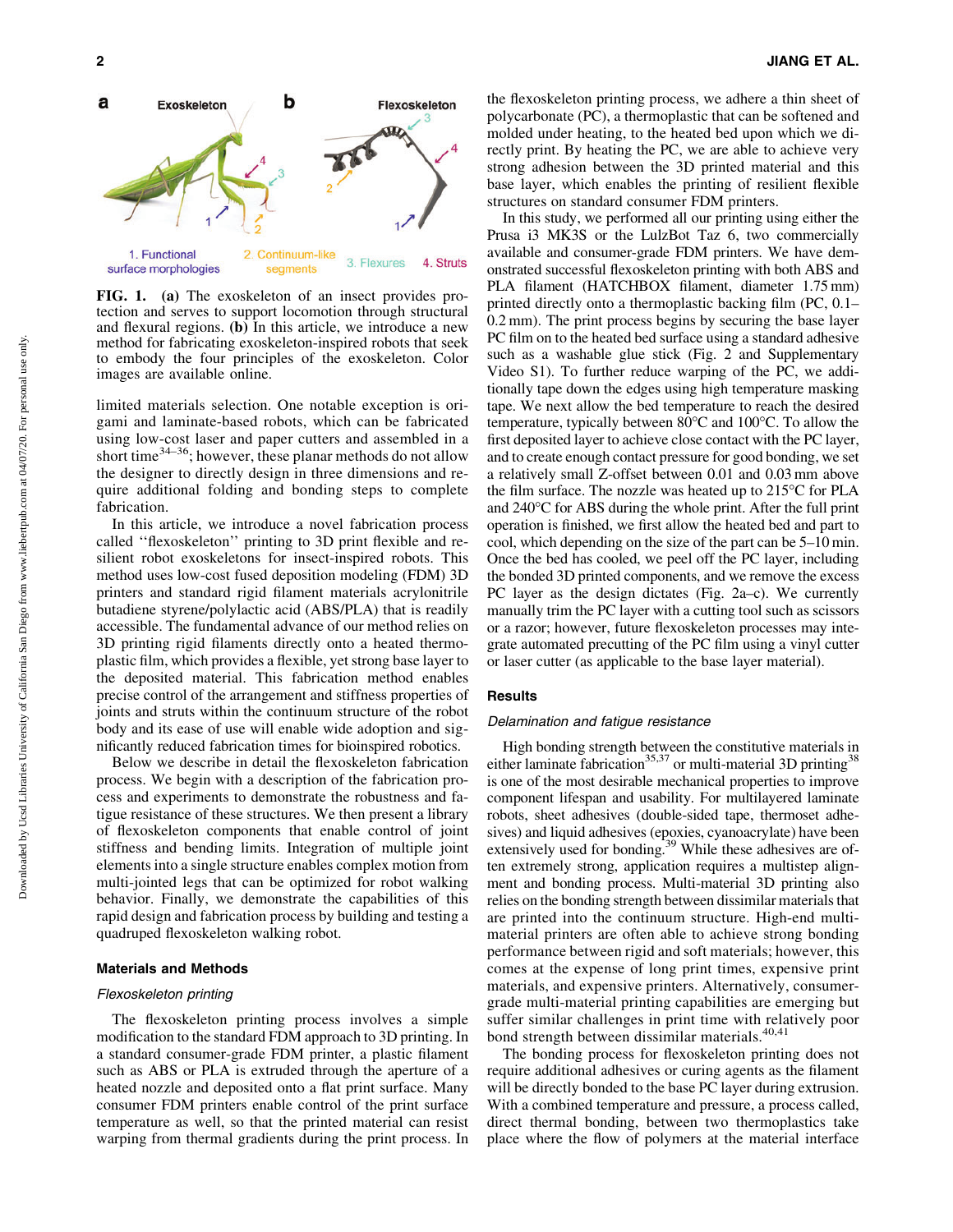

FIG. 1. (a) The exoskeleton of an insect provides protection and serves to support locomotion through structural and flexural regions. (b) In this article, we introduce a new method for fabricating exoskeleton-inspired robots that seek to embody the four principles of the exoskeleton. Color images are available online.

limited materials selection. One notable exception is origami and laminate-based robots, which can be fabricated using low-cost laser and paper cutters and assembled in a short time<sup>34-36</sup>; however, these planar methods do not allow the designer to directly design in three dimensions and require additional folding and bonding steps to complete fabrication.

In this article, we introduce a novel fabrication process called ''flexoskeleton'' printing to 3D print flexible and resilient robot exoskeletons for insect-inspired robots. This method uses low-cost fused deposition modeling (FDM) 3D printers and standard rigid filament materials acrylonitrile butadiene styrene/polylactic acid (ABS/PLA) that is readily accessible. The fundamental advance of our method relies on 3D printing rigid filaments directly onto a heated thermoplastic film, which provides a flexible, yet strong base layer to the deposited material. This fabrication method enables precise control of the arrangement and stiffness properties of joints and struts within the continuum structure of the robot body and its ease of use will enable wide adoption and significantly reduced fabrication times for bioinspired robotics.

Below we describe in detail the flexoskeleton fabrication process. We begin with a description of the fabrication process and experiments to demonstrate the robustness and fatigue resistance of these structures. We then present a library of flexoskeleton components that enable control of joint stiffness and bending limits. Integration of multiple joint elements into a single structure enables complex motion from multi-jointed legs that can be optimized for robot walking behavior. Finally, we demonstrate the capabilities of this rapid design and fabrication process by building and testing a quadruped flexoskeleton walking robot.

## Materials and Methods

## Flexoskeleton printing

The flexoskeleton printing process involves a simple modification to the standard FDM approach to 3D printing. In a standard consumer-grade FDM printer, a plastic filament such as ABS or PLA is extruded through the aperture of a heated nozzle and deposited onto a flat print surface. Many consumer FDM printers enable control of the print surface temperature as well, so that the printed material can resist warping from thermal gradients during the print process. In the flexoskeleton printing process, we adhere a thin sheet of polycarbonate (PC), a thermoplastic that can be softened and molded under heating, to the heated bed upon which we directly print. By heating the PC, we are able to achieve very strong adhesion between the 3D printed material and this base layer, which enables the printing of resilient flexible structures on standard consumer FDM printers.

In this study, we performed all our printing using either the Prusa i3 MK3S or the LulzBot Taz 6, two commercially available and consumer-grade FDM printers. We have demonstrated successful flexoskeleton printing with both ABS and PLA filament (HATCHBOX filament, diameter 1.75 mm) printed directly onto a thermoplastic backing film (PC, 0.1– 0.2 mm). The print process begins by securing the base layer PC film on to the heated bed surface using a standard adhesive such as a washable glue stick (Fig. 2 and Supplementary Video S1). To further reduce warping of the PC, we additionally tape down the edges using high temperature masking tape. We next allow the bed temperature to reach the desired temperature, typically between  $80^{\circ}$ C and  $100^{\circ}$ C. To allow the first deposited layer to achieve close contact with the PC layer, and to create enough contact pressure for good bonding, we set a relatively small Z-offset between 0.01 and 0.03 mm above the film surface. The nozzle was heated up to 215°C for PLA and 240°C for ABS during the whole print. After the full print operation is finished, we first allow the heated bed and part to cool, which depending on the size of the part can be 5–10 min. Once the bed has cooled, we peel off the PC layer, including the bonded 3D printed components, and we remove the excess PC layer as the design dictates (Fig. 2a–c). We currently manually trim the PC layer with a cutting tool such as scissors or a razor; however, future flexoskeleton processes may integrate automated precutting of the PC film using a vinyl cutter or laser cutter (as applicable to the base layer material).

#### Results

#### Delamination and fatigue resistance

High bonding strength between the constitutive materials in either laminate fabrication<sup>35,37</sup> or multi-material 3D printing<sup>38</sup> is one of the most desirable mechanical properties to improve component lifespan and usability. For multilayered laminate robots, sheet adhesives (double-sided tape, thermoset adhesives) and liquid adhesives (epoxies, cyanoacrylate) have been extensively used for bonding.<sup>39</sup> While these adhesives are often extremely strong, application requires a multistep alignment and bonding process. Multi-material 3D printing also relies on the bonding strength between dissimilar materials that are printed into the continuum structure. High-end multimaterial printers are often able to achieve strong bonding performance between rigid and soft materials; however, this comes at the expense of long print times, expensive print materials, and expensive printers. Alternatively, consumergrade multi-material printing capabilities are emerging but suffer similar challenges in print time with relatively poor bond strength between dissimilar materials.<sup>40,41</sup>

The bonding process for flexoskeleton printing does not require additional adhesives or curing agents as the filament will be directly bonded to the base PC layer during extrusion. With a combined temperature and pressure, a process called, direct thermal bonding, between two thermoplastics take place where the flow of polymers at the material interface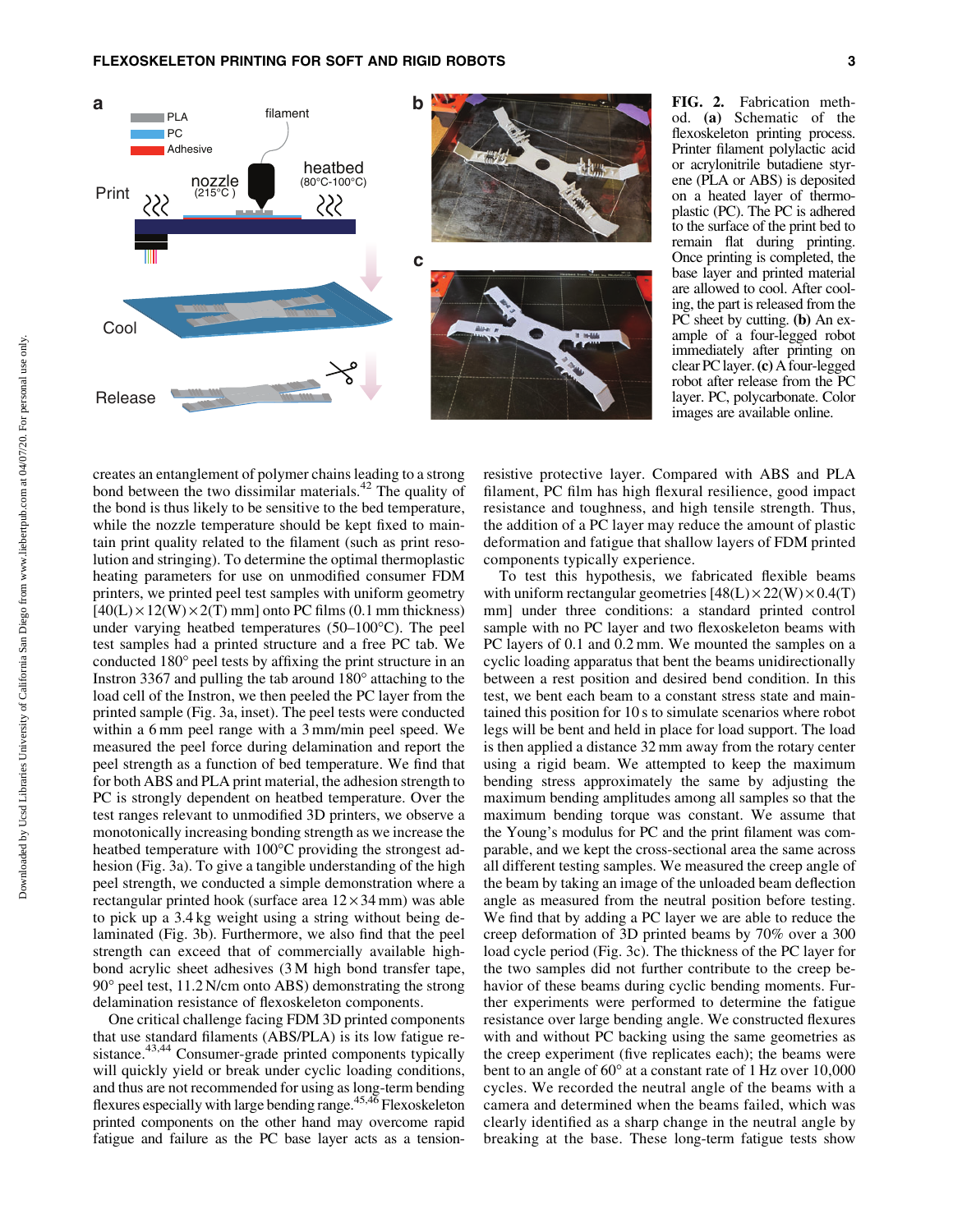

FIG. 2. Fabrication method. (a) Schematic of the flexoskeleton printing process. Printer filament polylactic acid or acrylonitrile butadiene styrene (PLA or ABS) is deposited on a heated layer of thermoplastic (PC). The PC is adhered to the surface of the print bed to remain flat during printing. Once printing is completed, the base layer and printed material are allowed to cool. After cooling, the part is released from the PC sheet by cutting. (b) An example of a four-legged robot immediately after printing on clear PClayer.(c)A four-legged robot after release from the PC layer. PC, polycarbonate. Color images are available online.

creates an entanglement of polymer chains leading to a strong bond between the two dissimilar materials.<sup>42</sup> The quality of the bond is thus likely to be sensitive to the bed temperature, while the nozzle temperature should be kept fixed to maintain print quality related to the filament (such as print resolution and stringing). To determine the optimal thermoplastic heating parameters for use on unmodified consumer FDM printers, we printed peel test samples with uniform geometry  $[40(L) \times 12(W) \times 2(T)$  mm onto PC films (0.1 mm thickness) under varying heatbed temperatures  $(50-100\degree C)$ . The peel test samples had a printed structure and a free PC tab. We conducted 180° peel tests by affixing the print structure in an Instron 3367 and pulling the tab around  $180^\circ$  attaching to the load cell of the Instron, we then peeled the PC layer from the printed sample (Fig. 3a, inset). The peel tests were conducted within a 6 mm peel range with a 3 mm/min peel speed. We measured the peel force during delamination and report the peel strength as a function of bed temperature. We find that for both ABS and PLA print material, the adhesion strength to PC is strongly dependent on heatbed temperature. Over the test ranges relevant to unmodified 3D printers, we observe a monotonically increasing bonding strength as we increase the heatbed temperature with 100°C providing the strongest adhesion (Fig. 3a). To give a tangible understanding of the high peel strength, we conducted a simple demonstration where a rectangular printed hook (surface area  $12 \times 34$  mm) was able to pick up a 3.4 kg weight using a string without being delaminated (Fig. 3b). Furthermore, we also find that the peel strength can exceed that of commercially available highbond acrylic sheet adhesives (3 M high bond transfer tape, 90° peel test, 11.2 N/cm onto ABS) demonstrating the strong delamination resistance of flexoskeleton components.

One critical challenge facing FDM 3D printed components that use standard filaments (ABS/PLA) is its low fatigue resistance.<sup>43,44</sup> Consumer-grade printed components typically will quickly yield or break under cyclic loading conditions, and thus are not recommended for using as long-term bending flexures especially with large bending range.<sup>45,46</sup> Flexoskeleton printed components on the other hand may overcome rapid fatigue and failure as the PC base layer acts as a tensionresistive protective layer. Compared with ABS and PLA filament, PC film has high flexural resilience, good impact resistance and toughness, and high tensile strength. Thus, the addition of a PC layer may reduce the amount of plastic deformation and fatigue that shallow layers of FDM printed components typically experience.

To test this hypothesis, we fabricated flexible beams with uniform rectangular geometries  $[48(L) \times 22(W) \times 0.4(T)]$ mm] under three conditions: a standard printed control sample with no PC layer and two flexoskeleton beams with PC layers of 0.1 and 0.2 mm. We mounted the samples on a cyclic loading apparatus that bent the beams unidirectionally between a rest position and desired bend condition. In this test, we bent each beam to a constant stress state and maintained this position for 10 s to simulate scenarios where robot legs will be bent and held in place for load support. The load is then applied a distance 32 mm away from the rotary center using a rigid beam. We attempted to keep the maximum bending stress approximately the same by adjusting the maximum bending amplitudes among all samples so that the maximum bending torque was constant. We assume that the Young's modulus for PC and the print filament was comparable, and we kept the cross-sectional area the same across all different testing samples. We measured the creep angle of the beam by taking an image of the unloaded beam deflection angle as measured from the neutral position before testing. We find that by adding a PC layer we are able to reduce the creep deformation of 3D printed beams by 70% over a 300 load cycle period (Fig. 3c). The thickness of the PC layer for the two samples did not further contribute to the creep behavior of these beams during cyclic bending moments. Further experiments were performed to determine the fatigue resistance over large bending angle. We constructed flexures with and without PC backing using the same geometries as the creep experiment (five replicates each); the beams were bent to an angle of  $60^{\circ}$  at a constant rate of  $1\,\mathrm{Hz}$  over  $10{,}000$ cycles. We recorded the neutral angle of the beams with a camera and determined when the beams failed, which was clearly identified as a sharp change in the neutral angle by breaking at the base. These long-term fatigue tests show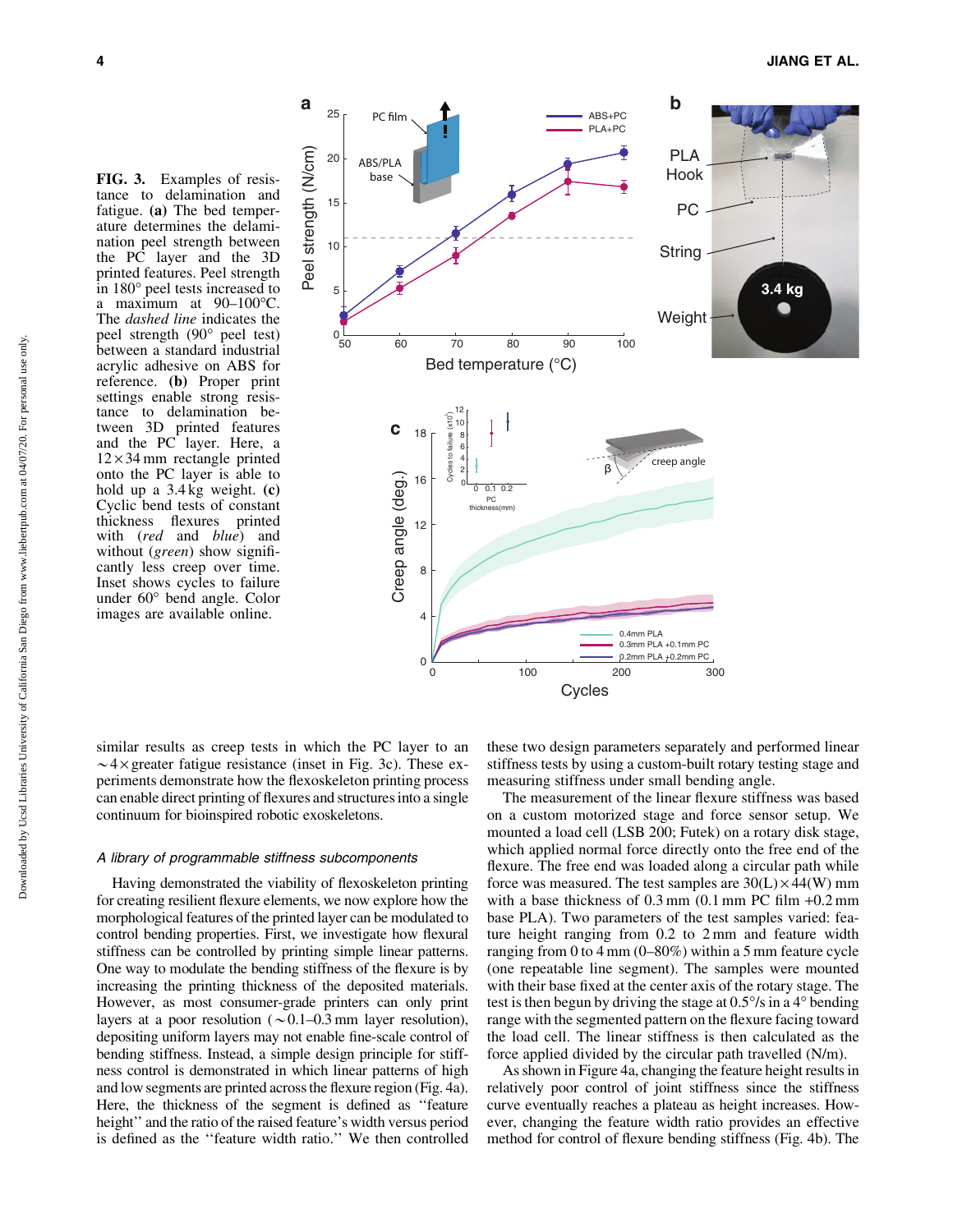FIG. 3. Examples of resistance to delamination and fatigue. (a) The bed temperature determines the delamination peel strength between the PC layer and the 3D printed features. Peel strength in 180° peel tests increased to a maximum at  $90-100$ °C. The *dashed line* indicates the peel strength (90° peel test) between a standard industrial acrylic adhesive on ABS for reference. (b) Proper print settings enable strong resistance to delamination between 3D printed features and the PC layer. Here, a  $12 \times 34$  mm rectangle printed onto the PC layer is able to hold up a  $3.4 \text{ kg}$  weight. (c) Cyclic bend tests of constant thickness flexures printed with (*red* and *blue*) and without (*green*) show significantly less creep over time. Inset shows cycles to failure under 60° bend angle. Color images are available online.



similar results as creep tests in which the PC layer to an  $\sim$  4  $\times$  greater fatigue resistance (inset in Fig. 3c). These experiments demonstrate how the flexoskeleton printing process can enable direct printing of flexures and structures into a single continuum for bioinspired robotic exoskeletons.

## A library of programmable stiffness subcomponents

Having demonstrated the viability of flexoskeleton printing for creating resilient flexure elements, we now explore how the morphological features of the printed layer can be modulated to control bending properties. First, we investigate how flexural stiffness can be controlled by printing simple linear patterns. One way to modulate the bending stiffness of the flexure is by increasing the printing thickness of the deposited materials. However, as most consumer-grade printers can only print layers at a poor resolution ( $\sim$  0.1–0.3 mm layer resolution), depositing uniform layers may not enable fine-scale control of bending stiffness. Instead, a simple design principle for stiffness control is demonstrated in which linear patterns of high and low segments are printed across the flexure region (Fig. 4a). Here, the thickness of the segment is defined as ''feature height'' and the ratio of the raised feature's width versus period is defined as the ''feature width ratio.'' We then controlled these two design parameters separately and performed linear stiffness tests by using a custom-built rotary testing stage and measuring stiffness under small bending angle.

The measurement of the linear flexure stiffness was based on a custom motorized stage and force sensor setup. We mounted a load cell (LSB 200; Futek) on a rotary disk stage, which applied normal force directly onto the free end of the flexure. The free end was loaded along a circular path while force was measured. The test samples are  $30(L) \times 44(W)$  mm with a base thickness of 0.3 mm (0.1 mm PC film +0.2 mm base PLA). Two parameters of the test samples varied: feature height ranging from 0.2 to 2 mm and feature width ranging from 0 to 4 mm (0–80%) within a 5 mm feature cycle (one repeatable line segment). The samples were mounted with their base fixed at the center axis of the rotary stage. The test is then begun by driving the stage at  $0.5^{\circ}/s$  in a 4 $^{\circ}$  bending range with the segmented pattern on the flexure facing toward the load cell. The linear stiffness is then calculated as the force applied divided by the circular path travelled (N/m).

As shown in Figure 4a, changing the feature height results in relatively poor control of joint stiffness since the stiffness curve eventually reaches a plateau as height increases. However, changing the feature width ratio provides an effective method for control of flexure bending stiffness (Fig. 4b). The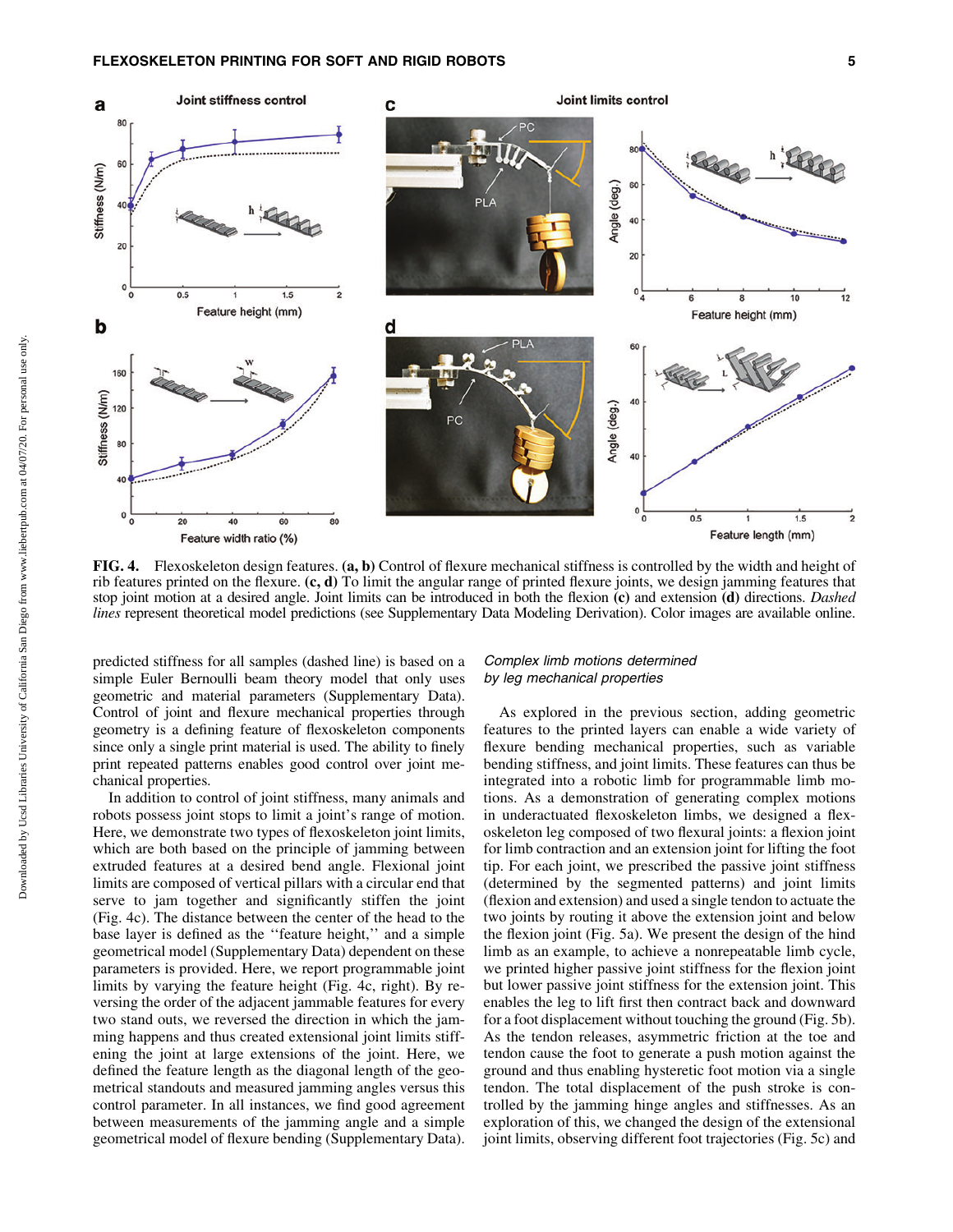

FIG. 4. Flexoskeleton design features.  $(a, b)$  Control of flexure mechanical stiffness is controlled by the width and height of rib features printed on the flexure.  $(c, d)$  To limit the angular range of printed flexure joints, we design jamming features that stop joint motion at a desired angle. Joint limits can be introduced in both the flexion (c) and extension (d) directions. *Dashed lines* represent theoretical model predictions (see Supplementary Data Modeling Derivation). Color images are available online.

predicted stiffness for all samples (dashed line) is based on a simple Euler Bernoulli beam theory model that only uses geometric and material parameters (Supplementary Data). Control of joint and flexure mechanical properties through geometry is a defining feature of flexoskeleton components since only a single print material is used. The ability to finely print repeated patterns enables good control over joint mechanical properties.

In addition to control of joint stiffness, many animals and robots possess joint stops to limit a joint's range of motion. Here, we demonstrate two types of flexoskeleton joint limits, which are both based on the principle of jamming between extruded features at a desired bend angle. Flexional joint limits are composed of vertical pillars with a circular end that serve to jam together and significantly stiffen the joint (Fig. 4c). The distance between the center of the head to the base layer is defined as the ''feature height,'' and a simple geometrical model (Supplementary Data) dependent on these parameters is provided. Here, we report programmable joint limits by varying the feature height (Fig. 4c, right). By reversing the order of the adjacent jammable features for every two stand outs, we reversed the direction in which the jamming happens and thus created extensional joint limits stiffening the joint at large extensions of the joint. Here, we defined the feature length as the diagonal length of the geometrical standouts and measured jamming angles versus this control parameter. In all instances, we find good agreement between measurements of the jamming angle and a simple geometrical model of flexure bending (Supplementary Data).

## Complex limb motions determined by leg mechanical properties

As explored in the previous section, adding geometric features to the printed layers can enable a wide variety of flexure bending mechanical properties, such as variable bending stiffness, and joint limits. These features can thus be integrated into a robotic limb for programmable limb motions. As a demonstration of generating complex motions in underactuated flexoskeleton limbs, we designed a flexoskeleton leg composed of two flexural joints: a flexion joint for limb contraction and an extension joint for lifting the foot tip. For each joint, we prescribed the passive joint stiffness (determined by the segmented patterns) and joint limits (flexion and extension) and used a single tendon to actuate the two joints by routing it above the extension joint and below the flexion joint (Fig. 5a). We present the design of the hind limb as an example, to achieve a nonrepeatable limb cycle, we printed higher passive joint stiffness for the flexion joint but lower passive joint stiffness for the extension joint. This enables the leg to lift first then contract back and downward for a foot displacement without touching the ground (Fig. 5b). As the tendon releases, asymmetric friction at the toe and tendon cause the foot to generate a push motion against the ground and thus enabling hysteretic foot motion via a single tendon. The total displacement of the push stroke is controlled by the jamming hinge angles and stiffnesses. As an exploration of this, we changed the design of the extensional joint limits, observing different foot trajectories (Fig. 5c) and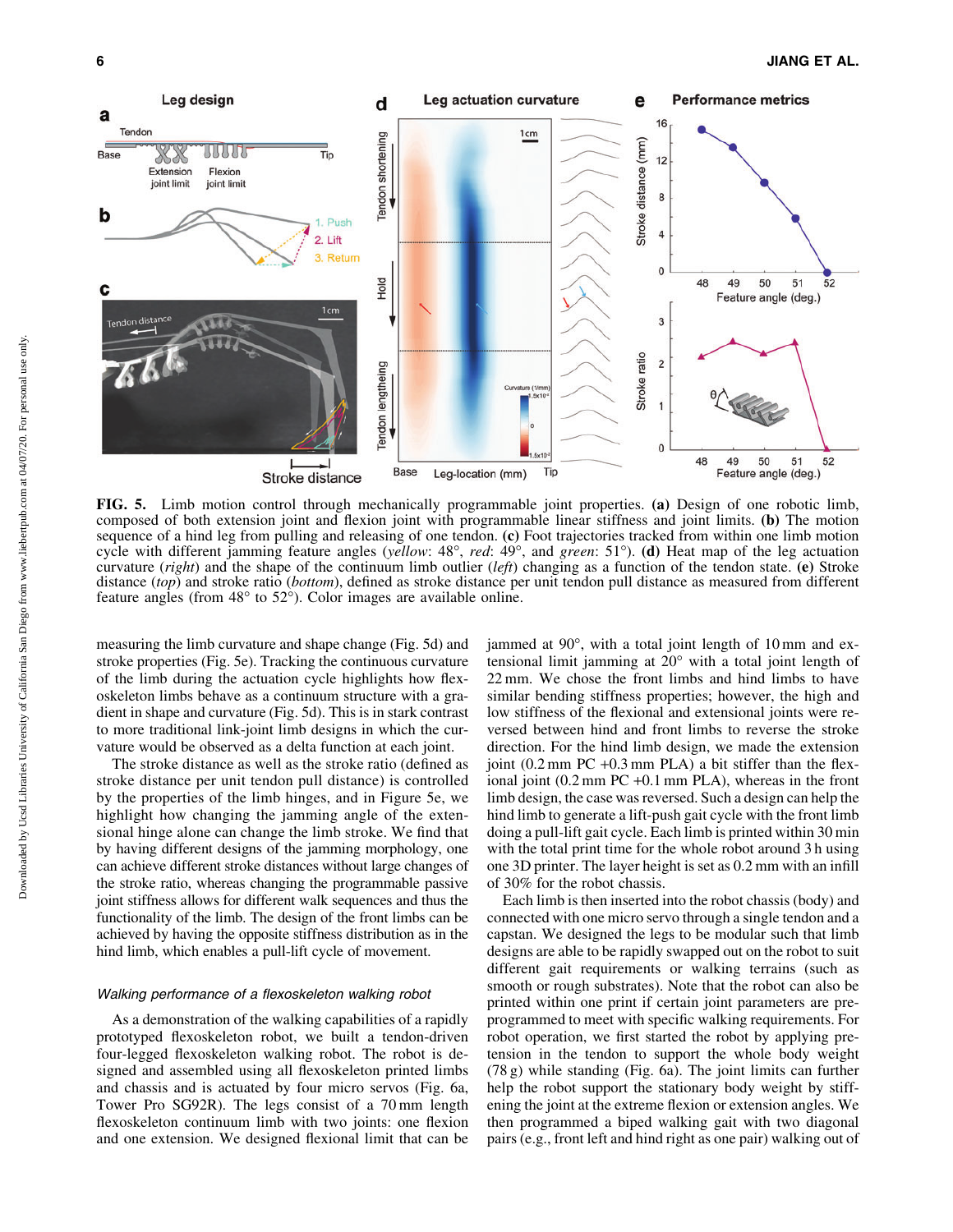

FIG. 5. Limb motion control through mechanically programmable joint properties. (a) Design of one robotic limb, composed of both extension joint and flexion joint with programmable linear stiffness and joint limits. (b) The motion sequence of a hind leg from pulling and releasing of one tendon. (c) Foot trajectories tracked from within one limb motion cycle with different jamming feature angles (*yellow*: 48°, *red*: 49°, and *green*: 51°). (**d**) Heat map of the leg actuation curvature (*right*) and the shape of the continuum limb outlier (*left*) changing as a function of the tendon state. (e) Stroke distance (*top*) and stroke ratio (*bottom*), defined as stroke distance per unit tendon pull distance as measured from different feature angles (from  $48^{\circ}$  to  $52^{\circ}$ ). Color images are available online.

measuring the limb curvature and shape change (Fig. 5d) and stroke properties (Fig. 5e). Tracking the continuous curvature of the limb during the actuation cycle highlights how flexoskeleton limbs behave as a continuum structure with a gradient in shape and curvature (Fig. 5d). This is in stark contrast to more traditional link-joint limb designs in which the curvature would be observed as a delta function at each joint.

The stroke distance as well as the stroke ratio (defined as stroke distance per unit tendon pull distance) is controlled by the properties of the limb hinges, and in Figure 5e, we highlight how changing the jamming angle of the extensional hinge alone can change the limb stroke. We find that by having different designs of the jamming morphology, one can achieve different stroke distances without large changes of the stroke ratio, whereas changing the programmable passive joint stiffness allows for different walk sequences and thus the functionality of the limb. The design of the front limbs can be achieved by having the opposite stiffness distribution as in the hind limb, which enables a pull-lift cycle of movement.

## Walking performance of a flexoskeleton walking robot

As a demonstration of the walking capabilities of a rapidly prototyped flexoskeleton robot, we built a tendon-driven four-legged flexoskeleton walking robot. The robot is designed and assembled using all flexoskeleton printed limbs and chassis and is actuated by four micro servos (Fig. 6a, Tower Pro SG92R). The legs consist of a 70 mm length flexoskeleton continuum limb with two joints: one flexion and one extension. We designed flexional limit that can be

jammed at 90°, with a total joint length of 10 mm and extensional limit jamming at 20° with a total joint length of 22 mm. We chose the front limbs and hind limbs to have similar bending stiffness properties; however, the high and low stiffness of the flexional and extensional joints were reversed between hind and front limbs to reverse the stroke direction. For the hind limb design, we made the extension joint (0.2 mm PC +0.3 mm PLA) a bit stiffer than the flexional joint (0.2 mm PC +0.1 mm PLA), whereas in the front limb design, the case was reversed. Such a design can help the hind limb to generate a lift-push gait cycle with the front limb doing a pull-lift gait cycle. Each limb is printed within 30 min with the total print time for the whole robot around 3 h using one 3D printer. The layer height is set as 0.2 mm with an infill of 30% for the robot chassis.

Each limb is then inserted into the robot chassis (body) and connected with one micro servo through a single tendon and a capstan. We designed the legs to be modular such that limb designs are able to be rapidly swapped out on the robot to suit different gait requirements or walking terrains (such as smooth or rough substrates). Note that the robot can also be printed within one print if certain joint parameters are preprogrammed to meet with specific walking requirements. For robot operation, we first started the robot by applying pretension in the tendon to support the whole body weight (78 g) while standing (Fig. 6a). The joint limits can further help the robot support the stationary body weight by stiffening the joint at the extreme flexion or extension angles. We then programmed a biped walking gait with two diagonal pairs (e.g., front left and hind right as one pair) walking out of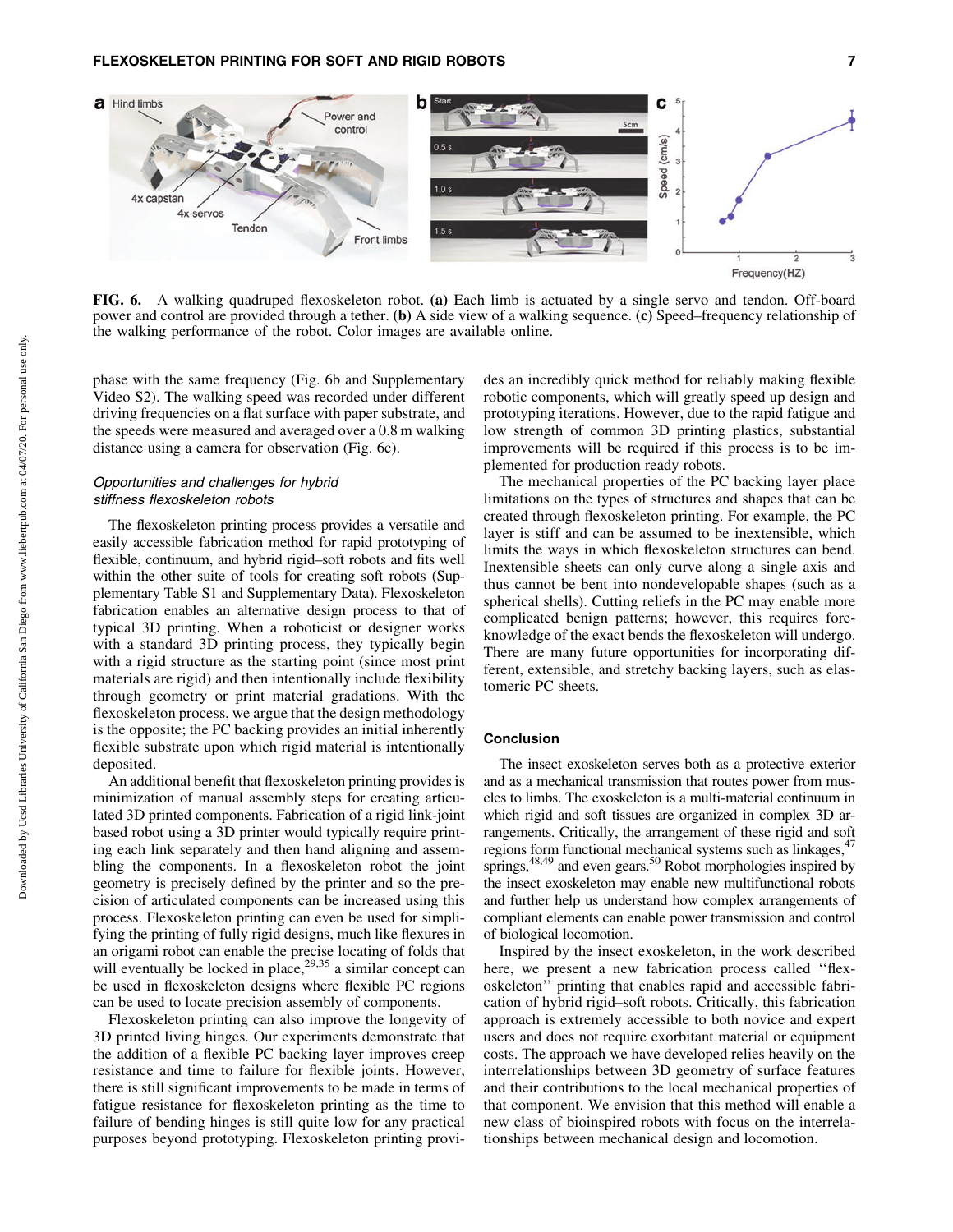

FIG. 6. A walking quadruped flexoskeleton robot. (a) Each limb is actuated by a single servo and tendon. Off-board power and control are provided through a tether. (b) A side view of a walking sequence. (c) Speed–frequency relationship of the walking performance of the robot. Color images are available online.

phase with the same frequency (Fig. 6b and Supplementary Video S2). The walking speed was recorded under different driving frequencies on a flat surface with paper substrate, and the speeds were measured and averaged over a 0.8 m walking distance using a camera for observation (Fig. 6c).

# Opportunities and challenges for hybrid stiffness flexoskeleton robots

The flexoskeleton printing process provides a versatile and easily accessible fabrication method for rapid prototyping of flexible, continuum, and hybrid rigid–soft robots and fits well within the other suite of tools for creating soft robots (Supplementary Table S1 and Supplementary Data). Flexoskeleton fabrication enables an alternative design process to that of typical 3D printing. When a roboticist or designer works with a standard 3D printing process, they typically begin with a rigid structure as the starting point (since most print materials are rigid) and then intentionally include flexibility through geometry or print material gradations. With the flexoskeleton process, we argue that the design methodology is the opposite; the PC backing provides an initial inherently flexible substrate upon which rigid material is intentionally deposited.

An additional benefit that flexoskeleton printing provides is minimization of manual assembly steps for creating articulated 3D printed components. Fabrication of a rigid link-joint based robot using a 3D printer would typically require printing each link separately and then hand aligning and assembling the components. In a flexoskeleton robot the joint geometry is precisely defined by the printer and so the precision of articulated components can be increased using this process. Flexoskeleton printing can even be used for simplifying the printing of fully rigid designs, much like flexures in an origami robot can enable the precise locating of folds that will eventually be locked in place,  $29,35$  a similar concept can be used in flexoskeleton designs where flexible PC regions can be used to locate precision assembly of components.

Flexoskeleton printing can also improve the longevity of 3D printed living hinges. Our experiments demonstrate that the addition of a flexible PC backing layer improves creep resistance and time to failure for flexible joints. However, there is still significant improvements to be made in terms of fatigue resistance for flexoskeleton printing as the time to failure of bending hinges is still quite low for any practical purposes beyond prototyping. Flexoskeleton printing provides an incredibly quick method for reliably making flexible robotic components, which will greatly speed up design and prototyping iterations. However, due to the rapid fatigue and low strength of common 3D printing plastics, substantial improvements will be required if this process is to be implemented for production ready robots.

The mechanical properties of the PC backing layer place limitations on the types of structures and shapes that can be created through flexoskeleton printing. For example, the PC layer is stiff and can be assumed to be inextensible, which limits the ways in which flexoskeleton structures can bend. Inextensible sheets can only curve along a single axis and thus cannot be bent into nondevelopable shapes (such as a spherical shells). Cutting reliefs in the PC may enable more complicated benign patterns; however, this requires foreknowledge of the exact bends the flexoskeleton will undergo. There are many future opportunities for incorporating different, extensible, and stretchy backing layers, such as elastomeric PC sheets.

#### Conclusion

The insect exoskeleton serves both as a protective exterior and as a mechanical transmission that routes power from muscles to limbs. The exoskeleton is a multi-material continuum in which rigid and soft tissues are organized in complex 3D arrangements. Critically, the arrangement of these rigid and soft regions form functional mechanical systems such as linkages, $4^7$ springs, $48,49$  and even gears.<sup>50</sup> Robot morphologies inspired by the insect exoskeleton may enable new multifunctional robots and further help us understand how complex arrangements of compliant elements can enable power transmission and control of biological locomotion.

Inspired by the insect exoskeleton, in the work described here, we present a new fabrication process called ''flexoskeleton'' printing that enables rapid and accessible fabrication of hybrid rigid–soft robots. Critically, this fabrication approach is extremely accessible to both novice and expert users and does not require exorbitant material or equipment costs. The approach we have developed relies heavily on the interrelationships between 3D geometry of surface features and their contributions to the local mechanical properties of that component. We envision that this method will enable a new class of bioinspired robots with focus on the interrelationships between mechanical design and locomotion.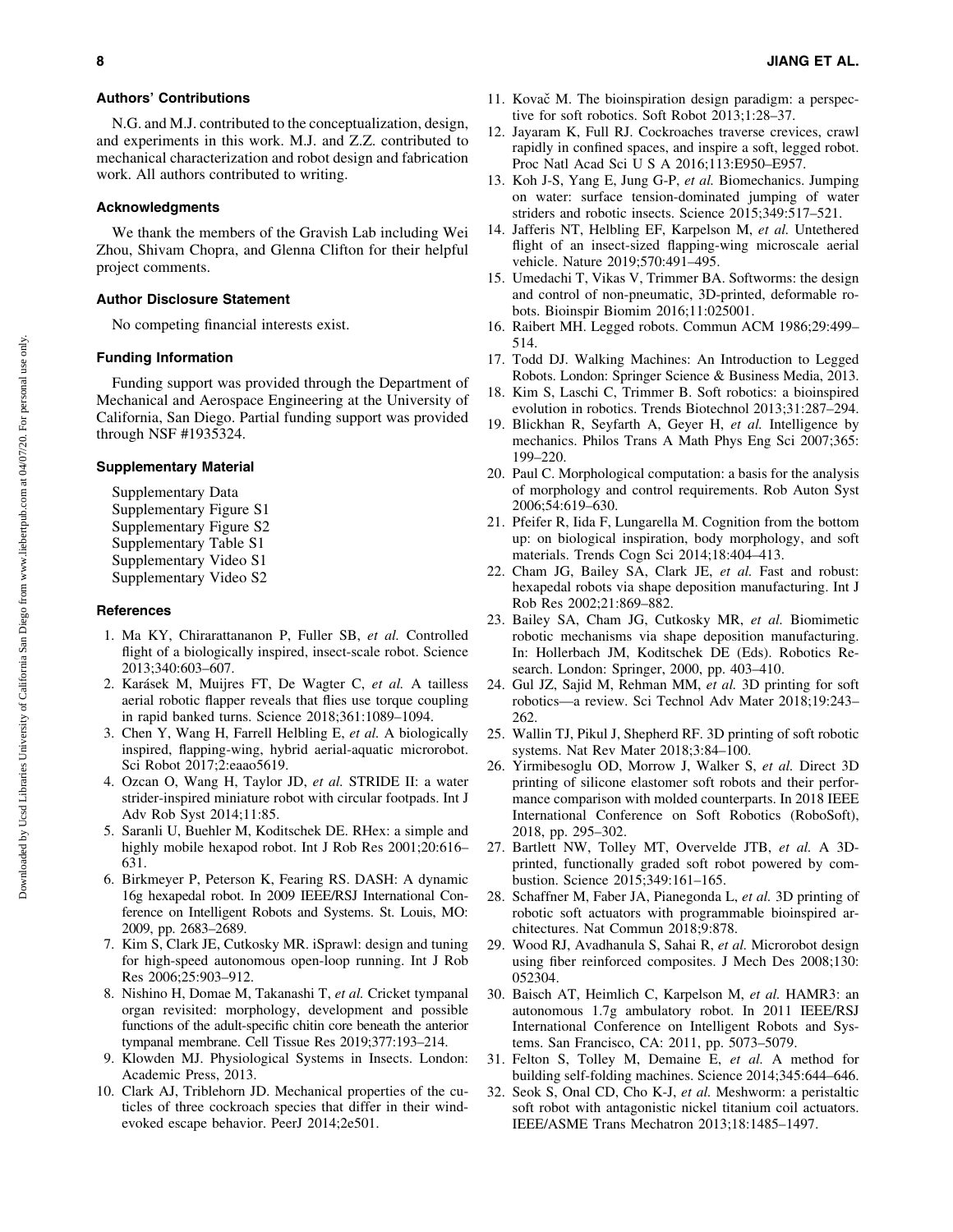#### Authors' Contributions

N.G. and M.J. contributed to the conceptualization, design, and experiments in this work. M.J. and Z.Z. contributed to mechanical characterization and robot design and fabrication work. All authors contributed to writing.

#### Acknowledgments

We thank the members of the Gravish Lab including Wei Zhou, Shivam Chopra, and Glenna Clifton for their helpful project comments.

## Author Disclosure Statement

No competing financial interests exist.

### Funding Information

Funding support was provided through the Department of Mechanical and Aerospace Engineering at the University of California, San Diego. Partial funding support was provided through NSF #1935324.

### Supplementary Material

Supplementary Data Supplementary Figure S1 Supplementary Figure S2 Supplementary Table S1 Supplementary Video S1 Supplementary Video S2

#### **References**

- 1. Ma KY, Chirarattananon P, Fuller SB, *et al.* Controlled flight of a biologically inspired, insect-scale robot. Science 2013;340:603–607.
- 2. Karásek M, Muijres FT, De Wagter C, et al. A tailless aerial robotic flapper reveals that flies use torque coupling in rapid banked turns. Science 2018;361:1089–1094.
- 3. Chen Y, Wang H, Farrell Helbling E, *et al.* A biologically inspired, flapping-wing, hybrid aerial-aquatic microrobot. Sci Robot 2017;2:eaao5619.
- 4. Ozcan O, Wang H, Taylor JD, *et al.* STRIDE II: a water strider-inspired miniature robot with circular footpads. Int J Adv Rob Syst 2014;11:85.
- 5. Saranli U, Buehler M, Koditschek DE. RHex: a simple and highly mobile hexapod robot. Int J Rob Res 2001;20:616– 631.
- 6. Birkmeyer P, Peterson K, Fearing RS. DASH: A dynamic 16g hexapedal robot. In 2009 IEEE/RSJ International Conference on Intelligent Robots and Systems. St. Louis, MO: 2009, pp. 2683–2689.
- 7. Kim S, Clark JE, Cutkosky MR. iSprawl: design and tuning for high-speed autonomous open-loop running. Int J Rob Res 2006;25:903–912.
- 8. Nishino H, Domae M, Takanashi T, *et al.* Cricket tympanal organ revisited: morphology, development and possible functions of the adult-specific chitin core beneath the anterior tympanal membrane. Cell Tissue Res 2019;377:193–214.
- 9. Klowden MJ. Physiological Systems in Insects. London: Academic Press, 2013.
- 10. Clark AJ, Triblehorn JD. Mechanical properties of the cuticles of three cockroach species that differ in their windevoked escape behavior. PeerJ 2014;2e501.
- 11. Kovač M. The bioinspiration design paradigm: a perspective for soft robotics. Soft Robot 2013;1:28–37.
- 12. Jayaram K, Full RJ. Cockroaches traverse crevices, crawl rapidly in confined spaces, and inspire a soft, legged robot. Proc Natl Acad Sci U S A 2016;113:E950–E957.
- 13. Koh J-S, Yang E, Jung G-P, *et al.* Biomechanics. Jumping on water: surface tension-dominated jumping of water striders and robotic insects. Science 2015;349:517–521.
- 14. Jafferis NT, Helbling EF, Karpelson M, *et al.* Untethered flight of an insect-sized flapping-wing microscale aerial vehicle. Nature 2019;570:491–495.
- 15. Umedachi T, Vikas V, Trimmer BA. Softworms: the design and control of non-pneumatic, 3D-printed, deformable robots. Bioinspir Biomim 2016;11:025001.
- 16. Raibert MH. Legged robots. Commun ACM 1986;29:499– 514.
- 17. Todd DJ. Walking Machines: An Introduction to Legged Robots. London: Springer Science & Business Media, 2013.
- 18. Kim S, Laschi C, Trimmer B. Soft robotics: a bioinspired evolution in robotics. Trends Biotechnol 2013;31:287–294.
- 19. Blickhan R, Seyfarth A, Geyer H, *et al.* Intelligence by mechanics. Philos Trans A Math Phys Eng Sci 2007;365: 199–220.
- 20. Paul C. Morphological computation: a basis for the analysis of morphology and control requirements. Rob Auton Syst 2006;54:619–630.
- 21. Pfeifer R, Iida F, Lungarella M. Cognition from the bottom up: on biological inspiration, body morphology, and soft materials. Trends Cogn Sci 2014;18:404–413.
- 22. Cham JG, Bailey SA, Clark JE, *et al.* Fast and robust: hexapedal robots via shape deposition manufacturing. Int J Rob Res 2002;21:869–882.
- 23. Bailey SA, Cham JG, Cutkosky MR, *et al.* Biomimetic robotic mechanisms via shape deposition manufacturing. In: Hollerbach JM, Koditschek DE (Eds). Robotics Research. London: Springer, 2000, pp. 403–410.
- 24. Gul JZ, Sajid M, Rehman MM, *et al.* 3D printing for soft robotics—a review. Sci Technol Adv Mater 2018;19:243– 262.
- 25. Wallin TJ, Pikul J, Shepherd RF. 3D printing of soft robotic systems. Nat Rev Mater 2018;3:84–100.
- 26. Yirmibesoglu OD, Morrow J, Walker S, *et al.* Direct 3D printing of silicone elastomer soft robots and their performance comparison with molded counterparts. In 2018 IEEE International Conference on Soft Robotics (RoboSoft), 2018, pp. 295–302.
- 27. Bartlett NW, Tolley MT, Overvelde JTB, *et al.* A 3Dprinted, functionally graded soft robot powered by combustion. Science 2015;349:161–165.
- 28. Schaffner M, Faber JA, Pianegonda L, *et al.* 3D printing of robotic soft actuators with programmable bioinspired architectures. Nat Commun 2018;9:878.
- 29. Wood RJ, Avadhanula S, Sahai R, *et al.* Microrobot design using fiber reinforced composites. J Mech Des 2008;130: 052304.
- 30. Baisch AT, Heimlich C, Karpelson M, *et al.* HAMR3: an autonomous 1.7g ambulatory robot. In 2011 IEEE/RSJ International Conference on Intelligent Robots and Systems. San Francisco, CA: 2011, pp. 5073–5079.
- 31. Felton S, Tolley M, Demaine E, *et al.* A method for building self-folding machines. Science 2014;345:644–646.
- 32. Seok S, Onal CD, Cho K-J, *et al.* Meshworm: a peristaltic soft robot with antagonistic nickel titanium coil actuators. IEEE/ASME Trans Mechatron 2013;18:1485–1497.